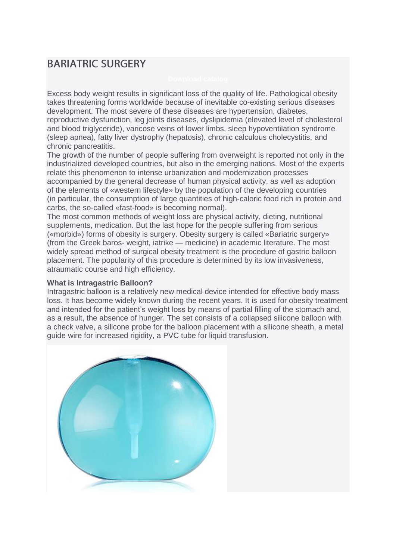# **BARIATRIC SURGERY**

Excess body weight results in significant loss of the quality of life. Pathological obesity takes threatening forms worldwide because of inevitable co-existing serious diseases development. The most severe of these diseases are hypertension, diabetes, reproductive dysfunction, leg joints diseases, dyslipidemia (elevated level of cholesterol and blood triglyceride), varicose veins of lower limbs, sleep hypoventilation syndrome (sleep apnea), fatty liver dystrophy (hepatosis), chronic calculous cholecystitis, and chronic pancreatitis.

The growth of the number of people suffering from overweight is reported not only in the industrialized developed countries, but also in the emerging nations. Most of the experts relate this phenomenon to intense urbanization and modernization processes accompanied by the general decrease of human physical activity, as well as adoption of the elements of «western lifestyle» by the population of the developing countries (in particular, the consumption of large quantities of high-caloric food rich in protein and carbs, the so-called «fast-food» is becoming normal).

The most common methods of weight loss are physical activity, dieting, nutritional supplements, medication. But the last hope for the people suffering from serious («morbid») forms of obesity is surgery. Obesity surgery is called «Bariatric surgery» (from the Greek baros- weight, iatrike — medicine) in academic literature. The most widely spread method of surgical obesity treatment is the procedure of gastric balloon placement. The popularity of this procedure is determined by its low invasiveness, atraumatic course and high efficiency.

#### **What is Intragastric Balloon?**

Intragastric balloon is a relatively new medical device intended for effective body mass loss. It has become widely known during the recent years. It is used for obesity treatment and intended for the patient's weight loss by means of partial filling of the stomach and, as a result, the absence of hunger. The set consists of a collapsed silicone balloon with a check valve, a silicone probe for the balloon placement with a silicone sheath, a metal guide wire for increased rigidity, a PVC tube for liquid transfusion.

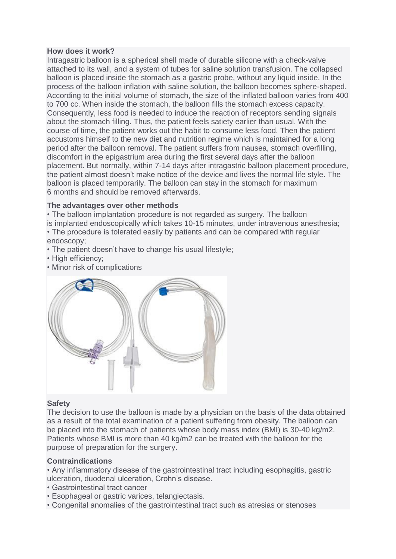#### **How does it work?**

Intragastric balloon is a spherical shell made of durable silicone with a check-valve attached to its wall, and a system of tubes for saline solution transfusion. The collapsed balloon is placed inside the stomach as a gastric probe, without any liquid inside. In the process of the balloon inflation with saline solution, the balloon becomes sphere-shaped. According to the initial volume of stomach, the size of the inflated balloon varies from 400 to 700 cc. When inside the stomach, the balloon fills the stomach excess capacity. Consequently, less food is needed to induce the reaction of receptors sending signals about the stomach filling. Thus, the patient feels satiety earlier than usual. With the course of time, the patient works out the habit to consume less food. Then the patient accustoms himself to the new diet and nutrition regime which is maintained for a long period after the balloon removal. The patient suffers from nausea, stomach overfilling, discomfort in the epigastrium area during the first several days after the balloon placement. But normally, within 7-14 days after intragastric balloon placement procedure, the patient almost doesn't make notice of the device and lives the normal life style. The balloon is placed temporarily. The balloon can stay in the stomach for maximum 6 months and should be removed afterwards.

# **The advantages over other methods**

• The balloon implantation procedure is not regarded as surgery. The balloon is implanted endoscopically which takes 10-15 minutes, under intravenous anesthesia; • The procedure is tolerated easily by patients and can be compared with regular

- endoscopy;
- The patient doesn't have to change his usual lifestyle;
- High efficiency:
- Minor risk of complications



# **Safety**

The decision to use the balloon is made by a physician on the basis of the data obtained as a result of the total examination of a patient suffering from obesity. The balloon can be placed into the stomach of patients whose body mass index (BMI) is 30-40 kg/m2. Patients whose BMI is more than 40 kg/m2 can be treated with the balloon for the purpose of preparation for the surgery.

# **Contraindications**

• Any inflammatory disease of the gastrointestinal tract including esophagitis, gastric ulceration, duodenal ulceration, Crohn's disease.

- Gastrointestinal tract cancer
- Esophageal or gastric varices, telangiectasis.
- Congenital anomalies of the gastrointestinal tract such as atresias or stenoses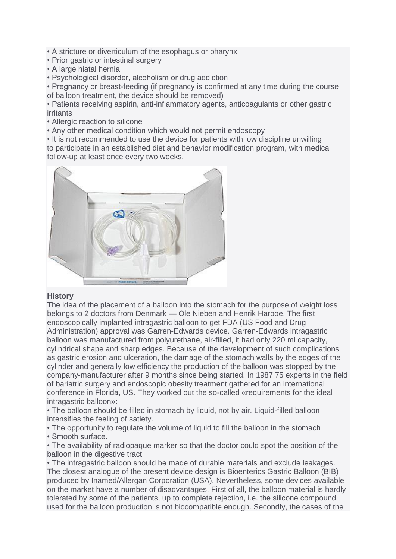- A stricture or diverticulum of the esophagus or pharynx
- Prior gastric or intestinal surgery
- A large hiatal hernia
- Psychological disorder, alcoholism or drug addiction

• Pregnancy or breast-feeding (if pregnancy is confirmed at any time during the course of balloon treatment, the device should be removed)

• Patients receiving aspirin, anti-inflammatory agents, anticoagulants or other gastric irritants

- Allergic reaction to silicone
- Any other medical condition which would not permit endoscopy

• It is not recommended to use the device for patients with low discipline unwilling to participate in an established diet and behavior modification program, with medical follow-up at least once every two weeks.



# **History**

The idea of the placement of a balloon into the stomach for the purpose of weight loss belongs to 2 doctors from Denmark — Ole Nieben and Henrik Harboe. The first endoscopically implanted intragastric balloon to get FDA (US Food and Drug Administration) approval was Garren-Edwards device. Garren-Edwards intragastric balloon was manufactured from polyurethane, air-filled, it had only 220 ml capacity, cylindrical shape and sharp edges. Because of the development of such complications as gastric erosion and ulceration, the damage of the stomach walls by the edges of the cylinder and generally low efficiency the production of the balloon was stopped by the company-manufacturer after 9 months since being started. In 1987 75 experts in the field of bariatric surgery and endoscopic obesity treatment gathered for an international conference in Florida, US. They worked out the so-called «requirements for the ideal intragastric balloon»:

• The balloon should be filled in stomach by liquid, not by air. Liquid-filled balloon intensifies the feeling of satiety.

• The opportunity to regulate the volume of liquid to fill the balloon in the stomach • Smooth surface.

• The availability of radiopaque marker so that the doctor could spot the position of the balloon in the digestive tract

• The intragastric balloon should be made of durable materials and exclude leakages. The closest analogue of the present device design is Bioenterics Gastric Balloon (BIB) produced by Inamed/Allergan Corporation (USA). Nevertheless, some devices available on the market have a number of disadvantages. First of all, the balloon material is hardly tolerated by some of the patients, up to complete rejection, i.e. the silicone compound used for the balloon production is not biocompatible enough. Secondly, the cases of the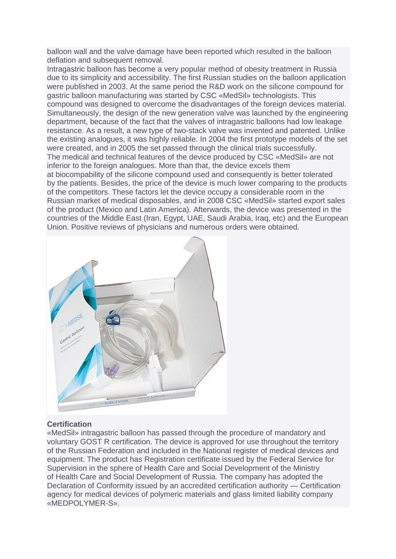balloon wall and the valve damage have been reported which resulted in the balloon deflation and subsequent removal.

Intragastric balloon has become a very popular method of obesity treatment in Russia due to its simplicity and accessibility. The first Russian studies on the balloon application were published in 2003. At the same period the R&D work on the silicone compound for gastric balloon manufacturing was started by CSC «MedSil» technologists. This compound was designed to overcome the disadvantages of the foreign devices material. Simultaneously, the design of the new generation valve was launched by the engineering department, because of the fact that the valves of intragastric balloons had low leakage resistance. As a result, a new type of two-stack valve was invented and patented. Unlike the existing analogues, it was highly reliable. In 2004 the first prototype models of the set were created, and in 2005 the set passed through the clinical trials successfully. The medical and technical features of the device produced by CSC «MedSil» are not inferior to the foreign analogues. More than that, the device excels them at biocompability of the silicone compound used and consequently is better tolerated by the patients. Besides, the price of the device is much lower comparing to the products of the competitors. These factors let the device occupy a considerable room in the Russian market of medical disposables, and in 2008 CSC «MedSil» started export sales of the product (Mexico and Latin America). Afterwards, the device was presented in the countries of the Middle East (Iran, Egypt, UAE, Saudi Arabia, Iraq, etc) and the European Union. Positive reviews of physicians and numerous orders were obtained.



# **Certification**

«MedSil» intragastric balloon has passed through the procedure of mandatory and voluntary GOST R certification. The device is approved for use throughout the territory of the Russian Federation and included in the National register of medical devices and equipment. The product has Registration certificate issued by the Federal Service for Supervision in the sphere of Health Care and Social Development of the Ministry of Health Care and Social Development of Russia. The company has adopted the Declaration of Conformity issued by an accredited certification authority — Certification agency for medical devices of polymeric materials and glass limited liability company «MEDPOLYMER-S».